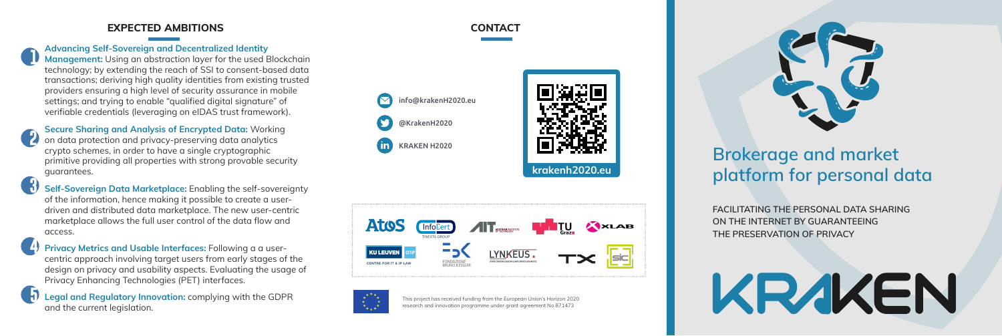# Brokerage and market platform for personal data

FACILITATING THE PERSONAL DATA SHARING ON THE INTERNET BY GUARANTEEING THE PRESERVATION OF PRIVACY



This project has received funding from the European Union's Horizon 2020 research and innovation programme under grant agreement No 871473









**CONTACT** 



### EXPECTED AMBITIONS

Advancing Self-Sovereign and Decentralized Identity Management: Using an abstraction layer for the used Blockchain technology; by extending the reach of SSI to consent-based data transactions; deriving high quality identities from existing trusted providers ensuring a high level of security assurance in mobile settings; and trying to enable "qualified digital signature" of verifiable credentials (leveraging on eIDAS trust framework).

 $\left\{\right\}$  Self-Sovereign Data Marketplace: Enabling the self-sovereignty of the information, hence making it possible to create a userdriven and distributed data marketplace. The new user-centric marketplace allows the full user control of the data flow and access.

**Privacy Metrics and Usable Interfaces:** Following a a usercentric approach involving target users from early stages of the design on privacy and usability aspects. Evaluating the usage of Privacy Enhancing Technologies (PET) interfaces. **12345**

Secure Sharing and Analysis of Encrypted Data: Working on data protection and privacy-preserving data analytics crypto schemes, in order to have a single cryptographic primitive providing all properties with strong provable security guarantees.

Legal and Regulatory Innovation: complying with the GDPR and the current legislation.